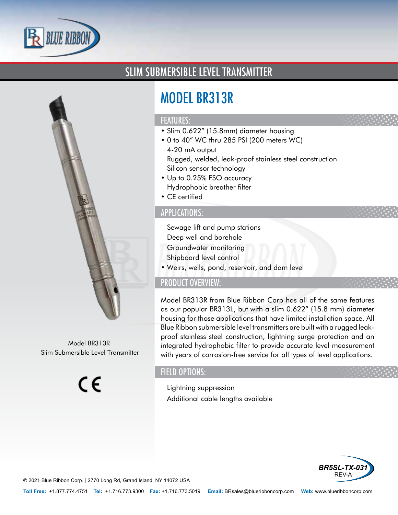

## SLIM SUBMERSIBLE LEVEL TRANSMITTER



Model BR313R Slim Submersible Level Transmitter

 $\epsilon$ 

# MODEL BR313R

#### FEATURES:

- Slim 0.622" (15.8mm) diameter housing
- 0 to 40" WC thru 285 PSI (200 meters WC)
- 4-20 mA output
- Rugged, welded, leak-proof stainless steel construction
- Silicon sensor technology
- Up to 0.25% FSO accuracy
- Hydrophobic breather filter
- CE certified

#### APPLICATIONS:

- Sewage lift and pump stations
- Deep well and borehole
- Groundwater monitoring
- Shipboard level control
- Weirs, wells, pond, reservoir, and dam level

### PRODUCT OVERVIEW:

Model BR313R from Blue Ribbon Corp has all of the same features as our popular BR313L, but with a slim 0.622" (15.8 mm) diameter housing for those applications that have limited installation space. All Blue Ribbon submersible level transmitters are built with a rugged leakproof stainless steel construction, lightning surge protection and an integrated hydrophobic filter to provide accurate level measurement with years of corrosion-free service for all types of level applications.

## FIELD OPTIONS:

- Lightning suppression
- Additional cable lengths available



© 2021 Blue Ribbon Corp. *<sup>|</sup>* 2770 Long Rd, Grand Island, NY 14072 USA